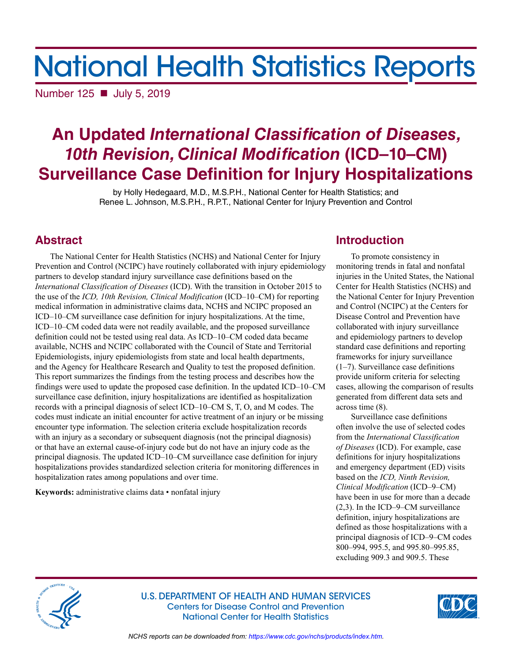# National Health Statistics Reports

Number 125 **■** July 5, 2019

## **An Updated** *International Classification of Diseases, 10th Revision, Clinical Modification* **(ICD–10–CM) Surveillance Case Definition for Injury Hospitalizations**

by Holly Hedegaard, M.D., M.S.P.H., National Center for Health Statistics; and Renee L. Johnson, M.S.P.H., R.P.T., National Center for Injury Prevention and Control

## **Abstract**

The National Center for Health Statistics (NCHS) and National Center for Injury Prevention and Control (NCIPC) have routinely collaborated with injury epidemiology partners to develop standard injury surveillance case definitions based on the *International Classification of Diseases* (ICD). With the transition in October 2015 to the use of the *ICD, 10th Revision, Clinical Modification* (ICD–10–CM) for reporting medical information in administrative claims data, NCHS and NCIPC proposed an ICD–10–CM surveillance case definition for injury hospitalizations. At the time, ICD–10–CM coded data were not readily available, and the proposed surveillance definition could not be tested using real data. As ICD–10–CM coded data became available, NCHS and NCIPC collaborated with the Council of State and Territorial Epidemiologists, injury epidemiologists from state and local health departments, and the Agency for Healthcare Research and Quality to test the proposed definition. This report summarizes the findings from the testing process and describes how the findings were used to update the proposed case definition. In the updated ICD–10–CM surveillance case definition, injury hospitalizations are identified as hospitalization records with a principal diagnosis of select ICD–10–CM S, T, O, and M codes. The codes must indicate an initial encounter for active treatment of an injury or be missing encounter type information. The selection criteria exclude hospitalization records with an injury as a secondary or subsequent diagnosis (not the principal diagnosis) or that have an external cause-of-injury code but do not have an injury code as the principal diagnosis. The updated ICD–10–CM surveillance case definition for injury hospitalizations provides standardized selection criteria for monitoring differences in hospitalization rates among populations and over time.

**Keywords:** administrative claims data • nonfatal injury

## **Introduction**

To promote consistency in monitoring trends in fatal and nonfatal injuries in the United States, the National Center for Health Statistics (NCHS) and the National Center for Injury Prevention and Control (NCIPC) at the Centers for Disease Control and Prevention have collaborated with injury surveillance and epidemiology partners to develop standard case definitions and reporting frameworks for injury surveillance (1–7). Surveillance case definitions provide uniform criteria for selecting cases, allowing the comparison of results generated from different data sets and across time (8).

Surveillance case definitions often involve the use of selected codes from the *International Classification of Diseases* (ICD). For example, case definitions for injury hospitalizations and emergency department (ED) visits based on the *ICD, Ninth Revision, Clinical Modification* (ICD–9–CM) have been in use for more than a decade (2,3). In the ICD–9–CM surveillance definition, injury hospitalizations are defined as those hospitalizations with a principal diagnosis of ICD–9–CM codes 800–994, 995.5, and 995.80–995.85, excluding 909.3 and 909.5. These



U.S. DEPARTMENT OF HEALTH AND HUMAN SERVICES Centers for Disease Control and Prevention National Center for Health Statistics



*NCHS reports can be downloaded from:<https://www.cdc.gov/nchs/products/index.htm>.*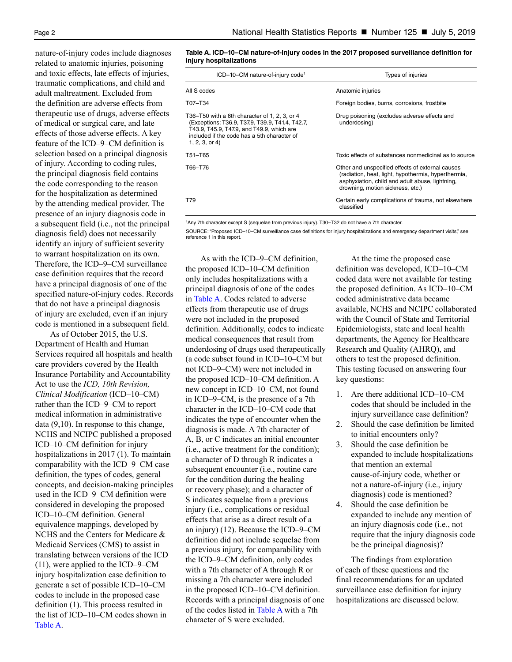nature-of-injury codes include diagnoses related to anatomic injuries, poisoning and toxic effects, late effects of injuries, traumatic complications, and child and adult maltreatment. Excluded from the definition are adverse effects from therapeutic use of drugs, adverse effects of medical or surgical care, and late effects of those adverse effects. A key feature of the ICD–9–CM definition is selection based on a principal diagnosis of injury. According to coding rules, the principal diagnosis field contains the code corresponding to the reason for the hospitalization as determined by the attending medical provider. The presence of an injury diagnosis code in a subsequent field (i.e., not the principal diagnosis field) does not necessarily identify an injury of sufficient severity to warrant hospitalization on its own. Therefore, the ICD–9–CM surveillance case definition requires that the record have a principal diagnosis of one of the specified nature-of-injury codes. Records that do not have a principal diagnosis of injury are excluded, even if an injury code is mentioned in a subsequent field.

As of October 2015, the U.S. Department of Health and Human Services required all hospitals and health care providers covered by the Health Insurance Portability and Accountability Act to use the *ICD, 10th Revision, Clinical Modification* (ICD–10–CM) rather than the ICD–9–CM to report medical information in administrative data (9,10). In response to this change, NCHS and NCIPC published a proposed ICD–10–CM definition for injury hospitalizations in 2017 (1). To maintain comparability with the ICD–9–CM case definition, the types of codes, general concepts, and decision-making principles used in the ICD–9–CM definition were considered in developing the proposed ICD–10–CM definition. General equivalence mappings, developed by NCHS and the Centers for Medicare & Medicaid Services (CMS) to assist in translating between versions of the ICD (11), were applied to the ICD–9–CM injury hospitalization case definition to generate a set of possible ICD–10–CM codes to include in the proposed case definition (1). This process resulted in the list of ICD–10–CM codes shown in [Table A.](#page-1-0)

<span id="page-1-0"></span>**Table A. ICD–10–CM nature-of-injury codes in the 2017 proposed surveillance definition for injury hospitalizations** 

| ICD-10-CM nature-of-injury code <sup>1</sup>                                                                                                                                                                  | Types of injuries                                                                                                                                                                              |
|---------------------------------------------------------------------------------------------------------------------------------------------------------------------------------------------------------------|------------------------------------------------------------------------------------------------------------------------------------------------------------------------------------------------|
| All S codes                                                                                                                                                                                                   | Anatomic injuries                                                                                                                                                                              |
| T07-T34                                                                                                                                                                                                       | Foreign bodies, burns, corrosions, frostbite                                                                                                                                                   |
| T36–T50 with a 6th character of 1, 2, 3, or 4<br>(Exceptions: T36.9, T37.9, T39.9, T41.4, T42.7,<br>T43.9, T45.9, T47.9, and T49.9, which are<br>included if the code has a 5th character of<br>1, 2, 3, or 4 | Drug poisoning (excludes adverse effects and<br>underdosing)                                                                                                                                   |
| T51-T65                                                                                                                                                                                                       | Toxic effects of substances nonmedicinal as to source                                                                                                                                          |
| T66-T76                                                                                                                                                                                                       | Other and unspecified effects of external causes<br>(radiation, heat, light, hypothermia, hyperthermia,<br>asphyxiation, child and adult abuse, lightning,<br>drowning, motion sickness, etc.) |
| T79                                                                                                                                                                                                           | Certain early complications of trauma, not elsewhere<br>classified                                                                                                                             |

1 Any 7th character except S (sequelae from previous injury). T30–T32 do not have a 7th character.

SOURCE: "Proposed ICD–10–CM surveillance case definitions for injury hospitalizations and emergency department visits," see reference 1 in this report.

As with the ICD–9–CM definition, the proposed ICD–10–CM definition only includes hospitalizations with a principal diagnosis of one of the codes in [Table A.](#page-1-0) Codes related to adverse effects from therapeutic use of drugs were not included in the proposed definition. Additionally, codes to indicate medical consequences that result from underdosing of drugs used therapeutically (a code subset found in ICD–10–CM but not ICD–9–CM) were not included in the proposed ICD–10–CM definition. A new concept in ICD–10–CM, not found in ICD–9–CM, is the presence of a 7th character in the ICD–10–CM code that indicates the type of encounter when the diagnosis is made. A 7th character of A, B, or C indicates an initial encounter (i.e., active treatment for the condition); a character of D through R indicates a subsequent encounter (i.e., routine care for the condition during the healing or recovery phase); and a character of S indicates sequelae from a previous injury (i.e., complications or residual effects that arise as a direct result of a an injury) (12). Because the ICD–9–CM definition did not include sequelae from a previous injury, for comparability with the ICD–9–CM definition, only codes with a 7th character of A through R or missing a 7th character were included in the proposed ICD–10–CM definition. Records with a principal diagnosis of one of the codes listed in [Table A](#page-1-0) with a 7th character of S were excluded.

At the time the proposed case definition was developed, ICD–10–CM coded data were not available for testing the proposed definition. As ICD–10–CM coded administrative data became available, NCHS and NCIPC collaborated with the Council of State and Territorial Epidemiologists, state and local health departments, the Agency for Healthcare Research and Quality (AHRQ), and others to test the proposed definition. This testing focused on answering four key questions:

- 1. Are there additional ICD–10–CM codes that should be included in the injury surveillance case definition?
- 2. Should the case definition be limited to initial encounters only?
- 3. Should the case definition be expanded to include hospitalizations that mention an external cause-of-injury code, whether or not a nature-of-injury (i.e., injury diagnosis) code is mentioned?
- 4. Should the case definition be expanded to include any mention of an injury diagnosis code (i.e., not require that the injury diagnosis code be the principal diagnosis)?

The findings from exploration of each of these questions and the final recommendations for an updated surveillance case definition for injury hospitalizations are discussed below.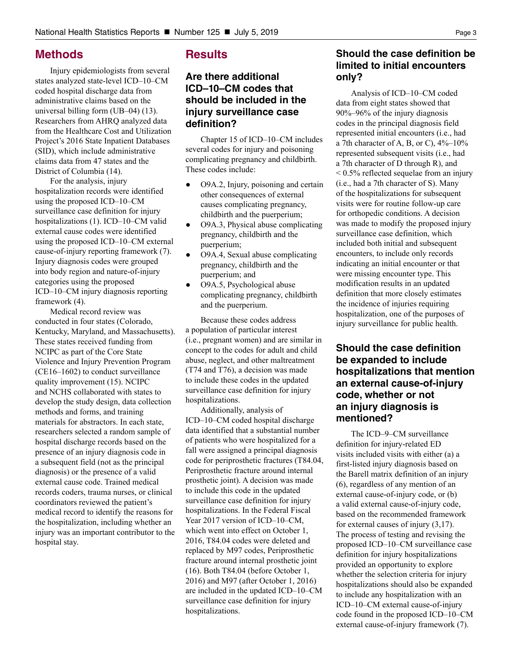## **Methods**

Injury epidemiologists from several states analyzed state-level ICD–10–CM coded hospital discharge data from administrative claims based on the universal billing form (UB–04) (13). Researchers from AHRQ analyzed data from the Healthcare Cost and Utilization Project's 2016 State Inpatient Databases (SID), which include administrative claims data from 47 states and the District of Columbia (14).

For the analysis, injury hospitalization records were identified using the proposed ICD–10–CM surveillance case definition for injury hospitalizations (1). ICD–10–CM valid external cause codes were identified using the proposed ICD–10–CM external cause-of-injury reporting framework (7). Injury diagnosis codes were grouped into body region and nature-of-injury categories using the proposed ICD–10–CM injury diagnosis reporting framework (4).

Medical record review was conducted in four states (Colorado, Kentucky, Maryland, and Massachusetts). These states received funding from NCIPC as part of the Core State Violence and Injury Prevention Program (CE16–1602) to conduct surveillance quality improvement (15). NCIPC and NCHS collaborated with states to develop the study design, data collection methods and forms, and training materials for abstractors. In each state, researchers selected a random sample of hospital discharge records based on the presence of an injury diagnosis code in a subsequent field (not as the principal diagnosis) or the presence of a valid external cause code. Trained medical records coders, trauma nurses, or clinical coordinators reviewed the patient's medical record to identify the reasons for the hospitalization, including whether an injury was an important contributor to the hospital stay.

## **Results**

## **Are there additional ICD–10–CM codes that should be included in the injury surveillance case definition?**

Chapter 15 of ICD–10–CM includes several codes for injury and poisoning complicating pregnancy and childbirth. These codes include:

- **●** O9A.2, Injury, poisoning and certain other consequences of external causes complicating pregnancy, childbirth and the puerperium;
- **●** O9A.3, Physical abuse complicating pregnancy, childbirth and the puerperium;
- **●** O9A.4, Sexual abuse complicating pregnancy, childbirth and the puerperium; and
- **●** O9A.5, Psychological abuse complicating pregnancy, childbirth and the puerperium.

Because these codes address a population of particular interest (i.e., pregnant women) and are similar in concept to the codes for adult and child abuse, neglect, and other maltreatment (T74 and T76), a decision was made to include these codes in the updated surveillance case definition for injury hospitalizations.

Additionally, analysis of ICD–10–CM coded hospital discharge data identified that a substantial number of patients who were hospitalized for a fall were assigned a principal diagnosis code for periprosthetic fractures (T84.04, Periprosthetic fracture around internal prosthetic joint). A decision was made to include this code in the updated surveillance case definition for injury hospitalizations. In the Federal Fiscal Year 2017 version of ICD–10–CM, which went into effect on October 1, 2016, T84.04 codes were deleted and replaced by M97 codes, Periprosthetic fracture around internal prosthetic joint (16). Both T84.04 (before October 1, 2016) and M97 (after October 1, 2016) are included in the updated ICD–10–CM surveillance case definition for injury hospitalizations.

## **Should the case definition be limited to initial encounters only?**

Analysis of ICD–10–CM coded data from eight states showed that 90%–96% of the injury diagnosis codes in the principal diagnosis field represented initial encounters (i.e., had a 7th character of A, B, or C),  $4\%-10\%$ represented subsequent visits (i.e., had a 7th character of D through R), and < 0.5% reflected sequelae from an injury (i.e., had a 7th character of S). Many of the hospitalizations for subsequent visits were for routine follow-up care for orthopedic conditions. A decision was made to modify the proposed injury surveillance case definition, which included both initial and subsequent encounters, to include only records indicating an initial encounter or that were missing encounter type. This modification results in an updated definition that more closely estimates the incidence of injuries requiring hospitalization, one of the purposes of injury surveillance for public health.

## **Should the case definition be expanded to include hospitalizations that mention an external cause-of-injury code, whether or not an injury diagnosis is mentioned?**

The ICD–9–CM surveillance definition for injury-related ED visits included visits with either (a) a first-listed injury diagnosis based on the Barell matrix definition of an injury (6), regardless of any mention of an external cause-of-injury code, or (b) a valid external cause-of-injury code, based on the recommended framework for external causes of injury (3,17). The process of testing and revising the proposed ICD–10–CM surveillance case definition for injury hospitalizations provided an opportunity to explore whether the selection criteria for injury hospitalizations should also be expanded to include any hospitalization with an ICD–10–CM external cause-of-injury code found in the proposed ICD–10–CM external cause-of-injury framework (7).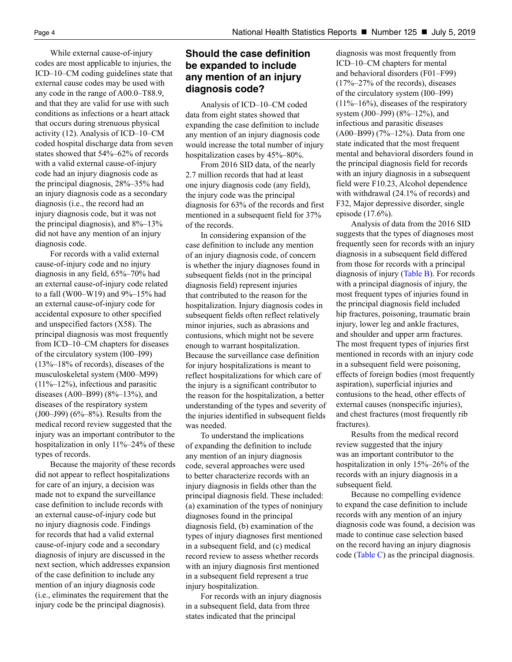While external cause-of-injury codes are most applicable to injuries, the ICD–10–CM coding guidelines state that external cause codes may be used with any code in the range of A00.0–T88.9, and that they are valid for use with such conditions as infections or a heart attack that occurs during strenuous physical activity (12). Analysis of ICD–10–CM coded hospital discharge data from seven states showed that 54%–62% of records with a valid external cause-of-injury code had an injury diagnosis code as the principal diagnosis, 28%–35% had an injury diagnosis code as a secondary diagnosis (i.e., the record had an injury diagnosis code, but it was not the principal diagnosis), and 8%–13% did not have any mention of an injury diagnosis code.

For records with a valid external cause-of-injury code and no injury diagnosis in any field, 65%–70% had an external cause-of-injury code related to a fall (W00–W19) and 9%–15% had an external cause-of-injury code for accidental exposure to other specified and unspecified factors (X58). The principal diagnosis was most frequently from ICD–10–CM chapters for diseases of the circulatory system (I00–I99) (13%–18% of records), diseases of the musculoskeletal system (M00–M99)  $(11\% - 12\%)$ , infectious and parasitic diseases (A00–B99) (8%–13%), and diseases of the respiratory system (J00–J99) (6%–8%). Results from the medical record review suggested that the injury was an important contributor to the hospitalization in only 11%–24% of these types of records.

Because the majority of these records did not appear to reflect hospitalizations for care of an injury, a decision was made not to expand the surveillance case definition to include records with an external cause-of-injury code but no injury diagnosis code. Findings for records that had a valid external cause-of-injury code and a secondary diagnosis of injury are discussed in the next section, which addresses expansion of the case definition to include any mention of an injury diagnosis code (i.e., eliminates the requirement that the injury code be the principal diagnosis).

## **Should the case definition be expanded to include any mention of an injury diagnosis code?**

Analysis of ICD–10–CM coded data from eight states showed that expanding the case definition to include any mention of an injury diagnosis code would increase the total number of injury hospitalization cases by 45%–80%.

From 2016 SID data, of the nearly 2.7 million records that had at least one injury diagnosis code (any field), the injury code was the principal diagnosis for 63% of the records and first mentioned in a subsequent field for 37% of the records.

In considering expansion of the case definition to include any mention of an injury diagnosis code, of concern is whether the injury diagnoses found in subsequent fields (not in the principal diagnosis field) represent injuries that contributed to the reason for the hospitalization. Injury diagnosis codes in subsequent fields often reflect relatively minor injuries, such as abrasions and contusions, which might not be severe enough to warrant hospitalization. Because the surveillance case definition for injury hospitalizations is meant to reflect hospitalizations for which care of the injury is a significant contributor to the reason for the hospitalization, a better understanding of the types and severity of the injuries identified in subsequent fields was needed.

To understand the implications of expanding the definition to include any mention of an injury diagnosis code, several approaches were used to better characterize records with an injury diagnosis in fields other than the principal diagnosis field. These included: (a) examination of the types of noninjury diagnoses found in the principal diagnosis field, (b) examination of the types of injury diagnoses first mentioned in a subsequent field, and (c) medical record review to assess whether records with an injury diagnosis first mentioned in a subsequent field represent a true injury hospitalization.

For records with an injury diagnosis in a subsequent field, data from three states indicated that the principal

diagnosis was most frequently from ICD–10–CM chapters for mental and behavioral disorders (F01–F99) (17%–27% of the records), diseases of the circulatory system (I00–I99)  $(11\%-16\%)$ , diseases of the respiratory system (J00–J99) (8%–12%), and infectious and parasitic diseases (A00–B99) (7%–12%). Data from one state indicated that the most frequent mental and behavioral disorders found in the principal diagnosis field for records with an injury diagnosis in a subsequent field were F10.23, Alcohol dependence with withdrawal (24.1% of records) and F32, Major depressive disorder, single episode (17.6%).

Analysis of data from the 2016 SID suggests that the types of diagnoses most frequently seen for records with an injury diagnosis in a subsequent field differed from those for records with a principal diagnosis of injury ([Table B\)](#page-4-0). For records with a principal diagnosis of injury, the most frequent types of injuries found in the principal diagnosis field included hip fractures, poisoning, traumatic brain injury, lower leg and ankle fractures, and shoulder and upper arm fractures. The most frequent types of injuries first mentioned in records with an injury code in a subsequent field were poisoning, effects of foreign bodies (most frequently aspiration), superficial injuries and contusions to the head, other effects of external causes (nonspecific injuries), and chest fractures (most frequently rib fractures).

Results from the medical record review suggested that the injury was an important contributor to the hospitalization in only 15%–26% of the records with an injury diagnosis in a subsequent field.

Because no compelling evidence to expand the case definition to include records with any mention of an injury diagnosis code was found, a decision was made to continue case selection based on the record having an injury diagnosis code [\(Table C\)](#page-4-1) as the principal diagnosis.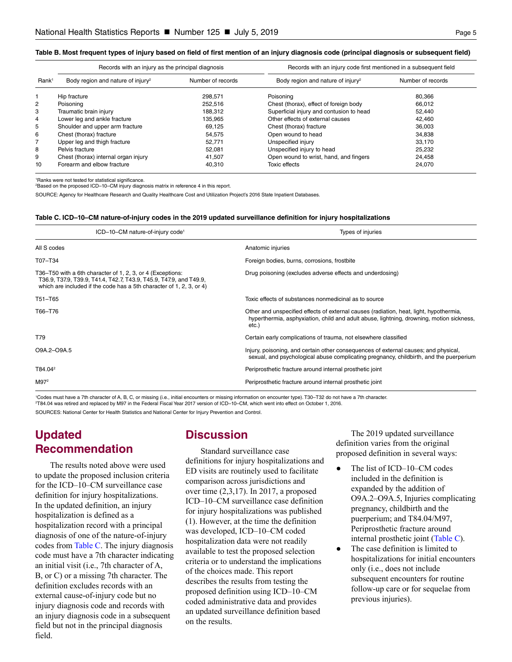#### <span id="page-4-0"></span>**Table B. Most frequent types of injury based on field of first mention of an injury diagnosis code (principal diagnosis or subsequent field)**

|                   | Records with an injury as the principal diagnosis |                   | Records with an injury code first mentioned in a subsequent field |                   |
|-------------------|---------------------------------------------------|-------------------|-------------------------------------------------------------------|-------------------|
| Rank <sup>1</sup> | Body region and nature of injury <sup>2</sup>     | Number of records | Body region and nature of injury <sup>2</sup>                     | Number of records |
|                   | Hip fracture                                      | 298.571           | Poisoning                                                         | 80.366            |
| $\overline{2}$    | Poisoning                                         | 252.516           | Chest (thorax), effect of foreign body                            | 66.012            |
| 3                 | Traumatic brain injury                            | 188.312           | Superficial injury and contusion to head                          | 52.440            |
| 4                 | Lower leg and ankle fracture                      | 135.965           | Other effects of external causes                                  | 42,460            |
| 5                 | Shoulder and upper arm fracture                   | 69.125            | Chest (thorax) fracture                                           | 36.003            |
| 6                 | Chest (thorax) fracture                           | 54.575            | Open wound to head                                                | 34.838            |
| 7                 | Upper leg and thigh fracture                      | 52,771            | Unspecified injury                                                | 33.170            |
| 8                 | Pelvis fracture                                   | 52.081            | Unspecified injury to head                                        | 25.232            |
| 9                 | Chest (thorax) internal organ injury              | 41,507            | Open wound to wrist, hand, and fingers                            | 24,458            |
| 10                | Forearm and elbow fracture                        | 40.310            | Toxic effects                                                     | 24.070            |

1 Ranks were not tested for statistical significance.

2 Based on the proposed ICD–10–CM injury diagnosis matrix in reference 4 in this report.

SOURCE: Agency for Healthcare Research and Quality Healthcare Cost and Utilization Project's 2016 State Inpatient Databases.

#### <span id="page-4-1"></span>**Table C. ICD–10–CM nature-of-injury codes in the 2019 updated surveillance definition for injury hospitalizations**

| ICD-10-CM nature-of-injury code <sup>1</sup>                                                                                                                                                             | Types of injuries                                                                                                                                                                              |
|----------------------------------------------------------------------------------------------------------------------------------------------------------------------------------------------------------|------------------------------------------------------------------------------------------------------------------------------------------------------------------------------------------------|
| All S codes                                                                                                                                                                                              | Anatomic injuries                                                                                                                                                                              |
| T07-T34                                                                                                                                                                                                  | Foreign bodies, burns, corrosions, frostbite                                                                                                                                                   |
| T36–T50 with a 6th character of 1, 2, 3, or 4 (Exceptions:<br>T36.9, T37.9, T39.9, T41.4, T42.7, T43.9, T45.9, T47.9, and T49.9,<br>which are included if the code has a 5th character of 1, 2, 3, or 4) | Drug poisoning (excludes adverse effects and underdosing)                                                                                                                                      |
| T51-T65                                                                                                                                                                                                  | Toxic effects of substances nonmedicinal as to source                                                                                                                                          |
| T66-T76                                                                                                                                                                                                  | Other and unspecified effects of external causes (radiation, heat, light, hypothermia,<br>hyperthermia, asphyxiation, child and adult abuse, lightning, drowning, motion sickness,<br>$etc.$ ) |
| T79                                                                                                                                                                                                      | Certain early complications of trauma, not elsewhere classified                                                                                                                                |
| O9A.2-O9A.5                                                                                                                                                                                              | Injury, poisoning, and certain other consequences of external causes; and physical,<br>sexual, and psychological abuse complicating pregnancy, childbirth, and the puerperium                  |
| T84.04 <sup>2</sup>                                                                                                                                                                                      | Periprosthetic fracture around internal prosthetic joint                                                                                                                                       |
| M97 <sup>2</sup>                                                                                                                                                                                         | Periprosthetic fracture around internal prosthetic joint                                                                                                                                       |

1 Codes must have a 7th character of A, B, C, or missing (i.e., initial encounters or missing information on encounter type). T30–T32 do not have a 7th character. 2 T84.04 was retired and replaced by M97 in the Federal Fiscal Year 2017 version of ICD–10–CM, which went into effect on October 1, 2016. SOURCES: National Center for Health Statistics and National Center for Injury Prevention and Control.

**Updated Recommendation**

The results noted above were used to update the proposed inclusion criteria for the ICD–10–CM surveillance case definition for injury hospitalizations. In the updated definition, an injury hospitalization is defined as a hospitalization record with a principal diagnosis of one of the nature-of-injury codes from [Table C.](#page-4-1) The injury diagnosis code must have a 7th character indicating an initial visit (i.e., 7th character of A, B, or C) or a missing 7th character. The definition excludes records with an external cause-of-injury code but no injury diagnosis code and records with an injury diagnosis code in a subsequent field but not in the principal diagnosis field.

## **Discussion**

Standard surveillance case definitions for injury hospitalizations and ED visits are routinely used to facilitate comparison across jurisdictions and over time (2,3,17). In 2017, a proposed ICD–10–CM surveillance case definition for injury hospitalizations was published (1). However, at the time the definition was developed, ICD–10–CM coded hospitalization data were not readily available to test the proposed selection criteria or to understand the implications of the choices made. This report describes the results from testing the proposed definition using ICD–10–CM coded administrative data and provides an updated surveillance definition based on the results.

The 2019 updated surveillance definition varies from the original proposed definition in several ways:

- The list of ICD–10–CM codes included in the definition is expanded by the addition of O9A.2–O9A.5, Injuries complicating pregnancy, childbirth and the puerperium; and T84.04/M97, Periprosthetic fracture around internal prosthetic joint [\(Table C](#page-4-1)).
- **●** The case definition is limited to hospitalizations for initial encounters only (i.e., does not include subsequent encounters for routine follow-up care or for sequelae from previous injuries).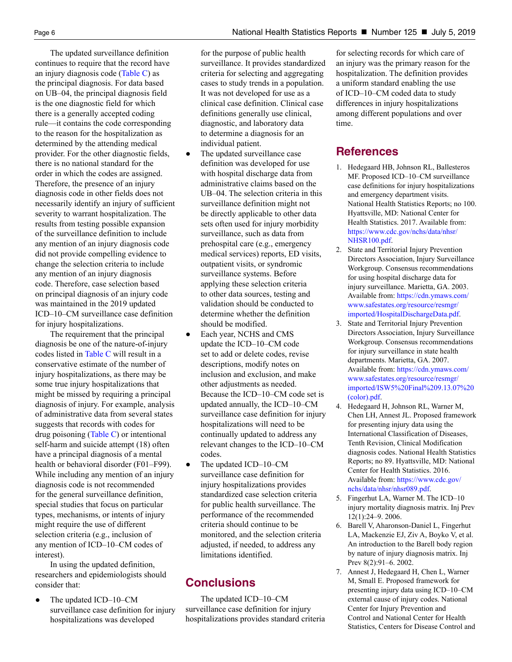The updated surveillance definition continues to require that the record have an injury diagnosis code [\(Table C\)](#page-4-1) as the principal diagnosis. For data based on UB–04, the principal diagnosis field is the one diagnostic field for which there is a generally accepted coding rule—it contains the code corresponding to the reason for the hospitalization as determined by the attending medical provider. For the other diagnostic fields, there is no national standard for the order in which the codes are assigned. Therefore, the presence of an injury diagnosis code in other fields does not necessarily identify an injury of sufficient severity to warrant hospitalization. The results from testing possible expansion of the surveillance definition to include any mention of an injury diagnosis code did not provide compelling evidence to change the selection criteria to include any mention of an injury diagnosis code. Therefore, case selection based on principal diagnosis of an injury code was maintained in the 2019 updated ICD–10–CM surveillance case definition for injury hospitalizations.

The requirement that the principal diagnosis be one of the nature-of-injury codes listed in [Table C](#page-4-1) will result in a conservative estimate of the number of injury hospitalizations, as there may be some true injury hospitalizations that might be missed by requiring a principal diagnosis of injury. For example, analysis of administrative data from several states suggests that records with codes for drug poisoning [\(Table C\)](#page-4-1) or intentional self-harm and suicide attempt (18) often have a principal diagnosis of a mental health or behavioral disorder (F01–F99). While including any mention of an injury diagnosis code is not recommended for the general surveillance definition, special studies that focus on particular types, mechanisms, or intents of injury might require the use of different selection criteria (e.g., inclusion of any mention of ICD–10–CM codes of interest).

In using the updated definition, researchers and epidemiologists should consider that:

The updated ICD–10–CM surveillance case definition for injury hospitalizations was developed

for the purpose of public health surveillance. It provides standardized criteria for selecting and aggregating cases to study trends in a population. It was not developed for use as a clinical case definition. Clinical case definitions generally use clinical, diagnostic, and laboratory data to determine a diagnosis for an individual patient.

- The updated surveillance case definition was developed for use with hospital discharge data from administrative claims based on the UB–04. The selection criteria in this surveillance definition might not be directly applicable to other data sets often used for injury morbidity surveillance, such as data from prehospital care (e.g., emergency medical services) reports, ED visits, outpatient visits, or syndromic surveillance systems. Before applying these selection criteria to other data sources, testing and validation should be conducted to determine whether the definition should be modified.
- **●** Each year, NCHS and CMS update the ICD–10–CM code set to add or delete codes, revise descriptions, modify notes on inclusion and exclusion, and make other adjustments as needed. Because the ICD–10–CM code set is updated annually, the ICD–10–CM surveillance case definition for injury hospitalizations will need to be continually updated to address any relevant changes to the ICD–10–CM codes.
- **●** The updated ICD–10–CM surveillance case definition for injury hospitalizations provides standardized case selection criteria for public health surveillance. The performance of the recommended criteria should continue to be monitored, and the selection criteria adjusted, if needed, to address any limitations identified.

## **Conclusions**

The updated ICD–10–CM surveillance case definition for injury hospitalizations provides standard criteria for selecting records for which care of an injury was the primary reason for the hospitalization. The definition provides a uniform standard enabling the use of ICD–10–CM coded data to study differences in injury hospitalizations among different populations and over time.

## **References**

- 1. Hedegaard HB, Johnson RL, Ballesteros MF. Proposed ICD–10–CM surveillance case definitions for injury hospitalizations and emergency department visits. National Health Statistics Reports; no 100. Hyattsville, MD: National Center for Health Statistics. 2017. Available from: [https://www.cdc.gov/nchs/data/nhsr/](https://www.cdc.gov/nchs/data/nhsr/NHSR100.pdf) [NHSR100.pdf.](https://www.cdc.gov/nchs/data/nhsr/NHSR100.pdf)
- 2. State and Territorial Injury Prevention Directors Association, Injury Surveillance Workgroup. Consensus recommendations for using hospital discharge data for injury surveillance. Marietta, GA. 2003. Available from: [https://cdn.ymaws.com/](https://cdn.ymaws.com/www.safestates.org/resource/resmgr/imported/HospitalDischargeData.pdf) [www.safestates.org/resource/resmgr/](https://cdn.ymaws.com/www.safestates.org/resource/resmgr/imported/HospitalDischargeData.pdf) [imported/HospitalDischargeData.pdf](https://cdn.ymaws.com/www.safestates.org/resource/resmgr/imported/HospitalDischargeData.pdf).
- 3. State and Territorial Injury Prevention Directors Association, Injury Surveillance Workgroup. Consensus recommendations for injury surveillance in state health departments. Marietta, GA. 2007. Available from: [https://cdn.ymaws.com/](https://cdn.ymaws.com/www.safestates.org/resource/resmgr/imported/ISW5%20Final%209.13.07%20(color).pdf) [www.safestates.org/resource/resmgr/](https://cdn.ymaws.com/www.safestates.org/resource/resmgr/imported/ISW5%20Final%209.13.07%20(color).pdf) [imported/ISW5%20Final%209.13.07%20](https://cdn.ymaws.com/www.safestates.org/resource/resmgr/imported/ISW5%20Final%209.13.07%20(color).pdf) [\(color\).pdf.](https://cdn.ymaws.com/www.safestates.org/resource/resmgr/imported/ISW5%20Final%209.13.07%20(color).pdf)
- 4. Hedegaard H, Johnson RL, Warner M, Chen LH, Annest JL. Proposed framework for presenting injury data using the International Classification of Diseases, Tenth Revision, Clinical Modification diagnosis codes. National Health Statistics Reports; no 89. Hyattsville, MD: National Center for Health Statistics. 2016. Available from: [https://www.cdc.gov/](https://www.cdc.gov/nchs/data/nhsr/nhsr089.pdf) [nchs/data/nhsr/nhsr089.pdf.](https://www.cdc.gov/nchs/data/nhsr/nhsr089.pdf)
- 5. Fingerhut LA, Warner M. The ICD–10 injury mortality diagnosis matrix. Inj Prev 12(1):24–9. 2006.
- 6. Barell V, Aharonson-Daniel L, Fingerhut LA, Mackenzie EJ, Ziv A, Boyko V, et al. An introduction to the Barell body region by nature of injury diagnosis matrix. Inj Prev 8(2):91–6. 2002.
- 7. Annest J, Hedegaard H, Chen L, Warner M, Small E. Proposed framework for presenting injury data using ICD–10–CM external cause of injury codes. National Center for Injury Prevention and Control and National Center for Health Statistics, Centers for Disease Control and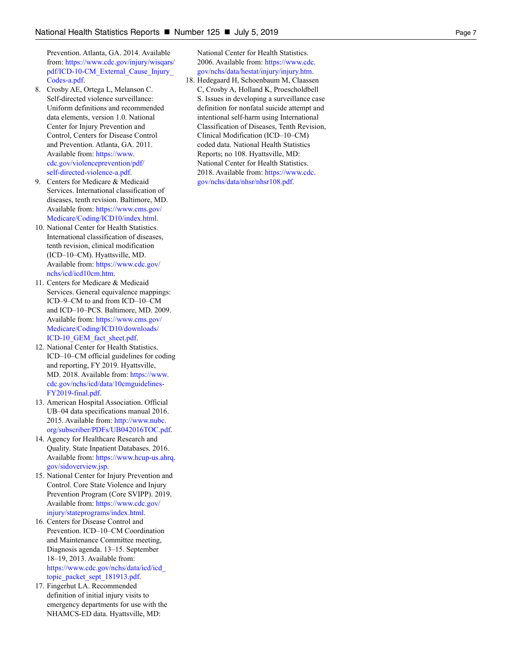Prevention. Atlanta, GA. 2014. Available from: [https://www.cdc.gov/injury/wisqars/](https://www.cdc.gov/injury/wisqars/pdf/ICD-10-CM_External_Cause_Injury_Codes-a.pdf) [pdf/ICD-10-CM\\_External\\_Cause\\_Injury\\_](https://www.cdc.gov/injury/wisqars/pdf/ICD-10-CM_External_Cause_Injury_Codes-a.pdf) [Codes-a.pdf.](https://www.cdc.gov/injury/wisqars/pdf/ICD-10-CM_External_Cause_Injury_Codes-a.pdf)

- 8. Crosby AE, Ortega L, Melanson C. Self-directed violence surveillance: Uniform definitions and recommended data elements, version 1.0. National Center for Injury Prevention and Control, Centers for Disease Control and Prevention. Atlanta, GA. 2011. Available from: [https://www.](https://www.cdc.gov/violenceprevention/pdf/self-directed-violence-a.pdf) [cdc.gov/violenceprevention/pdf/](https://www.cdc.gov/violenceprevention/pdf/self-directed-violence-a.pdf) [self-directed-violence-a.pdf.](https://www.cdc.gov/violenceprevention/pdf/self-directed-violence-a.pdf)
- 9. Centers for Medicare & Medicaid Services. International classification of diseases, tenth revision. Baltimore, MD. Available from: [https://www.cms.gov/](https://www.cms.gov/Medicare/Coding/ICD10/index.html) [Medicare/Coding/ICD10/index.html](https://www.cms.gov/Medicare/Coding/ICD10/index.html).
- 10. National Center for Health Statistics. International classification of diseases, tenth revision, clinical modification (ICD–10–CM). Hyattsville, MD. Available from: [https://www.cdc.gov/](https://www.cdc.gov/nchs/icd/icd10cm.htm) [nchs/icd/icd10cm.htm.](https://www.cdc.gov/nchs/icd/icd10cm.htm)
- 11. Centers for Medicare & Medicaid Services. General equivalence mappings: ICD–9–CM to and from ICD–10–CM and ICD–10–PCS. Baltimore, MD. 2009. Available from: [https://www.cms.gov/](https://www.cms.gov/Medicare/Coding/ICD10/downloads/ICD-10_GEM_fact_sheet.pdf) [Medicare/Coding/ICD10/downloads/](https://www.cms.gov/Medicare/Coding/ICD10/downloads/ICD-10_GEM_fact_sheet.pdf) [ICD-10\\_GEM\\_fact\\_sheet.pdf](https://www.cms.gov/Medicare/Coding/ICD10/downloads/ICD-10_GEM_fact_sheet.pdf).
- 12. National Center for Health Statistics. ICD–10–CM official guidelines for coding and reporting, FY 2019. Hyattsville, MD. 2018. Available from: [https://www.](https://www.cdc.gov/nchs/icd/data/10cmguidelines-FY2019-final.pdf) [cdc.gov/nchs/icd/data/10cmguidelines-](https://www.cdc.gov/nchs/icd/data/10cmguidelines-FY2019-final.pdf)[FY2019-final.pdf](https://www.cdc.gov/nchs/icd/data/10cmguidelines-FY2019-final.pdf).
- 13. American Hospital Association. Official UB–04 data specifications manual 2016. 2015. Available from: [http://www.nubc.](http://www.nubc.org/subscriber/PDFs/UB042016TOC.pdf) [org/subscriber/PDFs/UB042016TOC.pdf.](http://www.nubc.org/subscriber/PDFs/UB042016TOC.pdf)
- 14. Agency for Healthcare Research and Quality. State Inpatient Databases. 2016. Available from: [https://www.hcup-us.ahrq.](https://www.hcup-us.ahrq.gov/sidoverview.jsp) [gov/sidoverview.jsp](https://www.hcup-us.ahrq.gov/sidoverview.jsp).
- 15. National Center for Injury Prevention and Control. Core State Violence and Injury Prevention Program (Core SVIPP). 2019. Available from: [https://www.cdc.gov/](https://www.cdc.gov/injury/stateprograms/index.html) [injury/stateprograms/index.html.](https://www.cdc.gov/injury/stateprograms/index.html)
- 16. Centers for Disease Control and Prevention. ICD–10–CM Coordination and Maintenance Committee meeting, Diagnosis agenda. 13–15. September 18–19, 2013. Available from: [https://www.cdc.gov/nchs/data/icd/icd\\_](https://www.cdc.gov/nchs/data/icd/icd_topic_packet_sept_181913.pdf) [topic\\_packet\\_sept\\_181913.pdf.](https://www.cdc.gov/nchs/data/icd/icd_topic_packet_sept_181913.pdf)
- 17. Fingerhut LA. Recommended definition of initial injury visits to emergency departments for use with the NHAMCS-ED data. Hyattsville, MD:

National Center for Health Statistics. 2006. Available from: [https://www.cdc.](https://www.cdc.gov/nchs/data/hestat/injury/injury.htm) [gov/nchs/data/hestat/injury/injury.htm](https://www.cdc.gov/nchs/data/hestat/injury/injury.htm) .

18. Hedegaard H, Schoenbaum M, Claassen C, Crosby A, Holland K, Proescholdbell S. Issues in developing a surveillance case definition for nonfatal suicide attempt and intentional self-harm using International Classification of Diseases, Tenth Revision, Clinical Modification (ICD–10–CM) coded data. National Health Statistics Reports; no 108. Hyattsville, MD: National Center for Health Statistics. 2018. Available from: [https://www.cdc.](https://www.cdc.gov/nchs/data/nhsr/nhsr108.pdf) [gov/nchs/data/nhsr/nhsr108.pdf.](https://www.cdc.gov/nchs/data/nhsr/nhsr108.pdf)